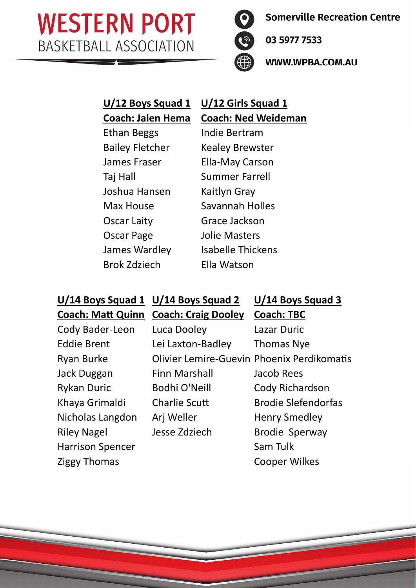

**Somerville Recreation Centre** 

03 5977 7533

WWW.WPBA.COM.AU

# **U/12 Boys Squad 1 U/12 Girls Squad 1**

Ethan Beggs Indie Bertram Taj Hall Summer Farrell Joshua Hansen Kaitlyn Gray Oscar Laity Grace Jackson Oscar Page Jolie Masters Brok Zdziech Ella Watson

# **Coach: Jalen Hema Coach: Ned Weideman**

Bailey Fletcher Kealey Brewster James Fraser Ella-May Carson Max House Savannah Holles James Wardley Isabelle Thickens

| U/14 Boys Squad 1 U/14 Boys Squad 2 |                            | U/14 Boys Squad 3                                 |
|-------------------------------------|----------------------------|---------------------------------------------------|
| <b>Coach: Matt Quinn</b>            | <b>Coach: Craig Dooley</b> | <b>Coach: TBC</b>                                 |
| Cody Bader-Leon                     | Luca Dooley                | Lazar Duric                                       |
| <b>Eddie Brent</b>                  | Lei Laxton-Badley          | <b>Thomas Nye</b>                                 |
| <b>Ryan Burke</b>                   |                            | <b>Olivier Lemire-Guevin Phoenix Perdikomatis</b> |
| Jack Duggan                         | <b>Finn Marshall</b>       | Jacob Rees                                        |
| <b>Rykan Duric</b>                  | Bodhi O'Neill              | Cody Richardson                                   |
| Khaya Grimaldi                      | <b>Charlie Scutt</b>       | <b>Brodie Slefendorfas</b>                        |
| Nicholas Langdon                    | Arj Weller                 | <b>Henry Smedley</b>                              |
| <b>Riley Nagel</b>                  | Jesse Zdziech              | <b>Brodie Sperway</b>                             |
| <b>Harrison Spencer</b>             |                            | Sam Tulk                                          |
| <b>Ziggy Thomas</b>                 |                            | <b>Cooper Wilkes</b>                              |
|                                     |                            |                                                   |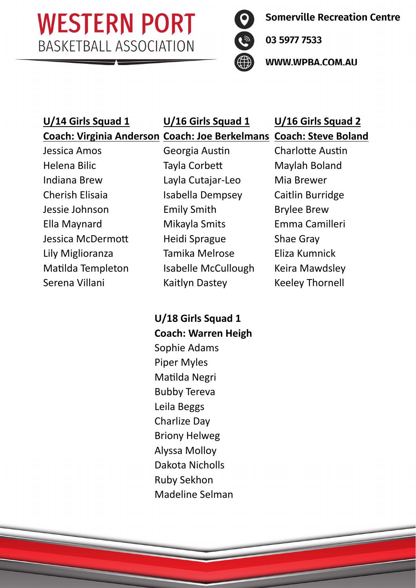

**Somerville Recreation Centre** 

03 5977 7533

WWW.WPBA.COM.AU

#### **U/14 Girls Squad 1 U/16 Girls Squad 1 U/16 Girls Squad 2 Coach: Virginia Anderson Coach: Joe Berkelmans Coach: Steve Boland**

Jessica Amos **Georgia Austin** Charlotte Austin Helena Bilic **Tayla Corbett** Maylah Boland Indiana Brew Layla Cutajar‐Leo Mia Brewer Cherish Elisaia **Isabella Dempsey** Caitlin Burridge Jessie Johnson Emily Smith Brylee Brew Ella Maynard Mikayla Smits Emma Camilleri Jessica McDermott Heidi Sprague Shae Gray Lily Miglioranza Tamika Melrose Eliza Kumnick Matilda Templeton Isabelle McCullough Keira Mawdsley Serena Villani Kaitlyn Dastey Keeley Thornell

**U/18 Girls Squad 1 Coach: Warren Heigh**  Sophie Adams Piper Myles Matilda Negri Bubby Tereva Leila Beggs Charlize Day Briony Helweg Alyssa Molloy Dakota Nicholls Ruby Sekhon Madeline Selman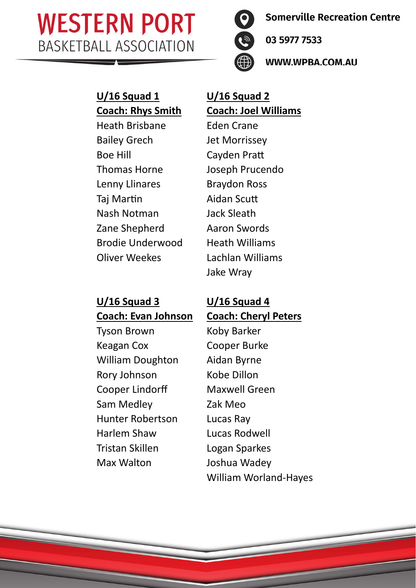

**Somerville Recreation Centre** 

03 5977 7533

WWW.WPBA.COM.AU

# **U/16 Squad 1** U/16 Squad 2

Heath Brisbane Eden Crane Bailey Grech Jet Morrissey Boe Hill Cayden Pratt Thomas Horne Joseph Prucendo Lenny Llinares Braydon Ross Taj Martin Aidan Scutt Nash Notman Jack Sleath Zane Shepherd Aaron Swords Brodie Underwood Heath Williams Oliver Weekes Lachlan Williams

# **Coach: Rhys Smith Coach: Joel Williams**

Jake Wray

#### **U/16 Squad 3 U/16 Squad 4 Coach: Evan Johnson Coach: Cheryl Peters**

Tyson Brown Koby Barker Keagan Cox Cooper Burke William Doughton Aidan Byrne Rory Johnson Kobe Dillon Cooper Lindorff Maxwell Green Sam Medley Zak Meo Hunter Robertson Lucas Ray Harlem Shaw Lucas Rodwell Tristan Skillen Logan Sparkes Max Walton Joshua Wadey

William Worland‐Hayes